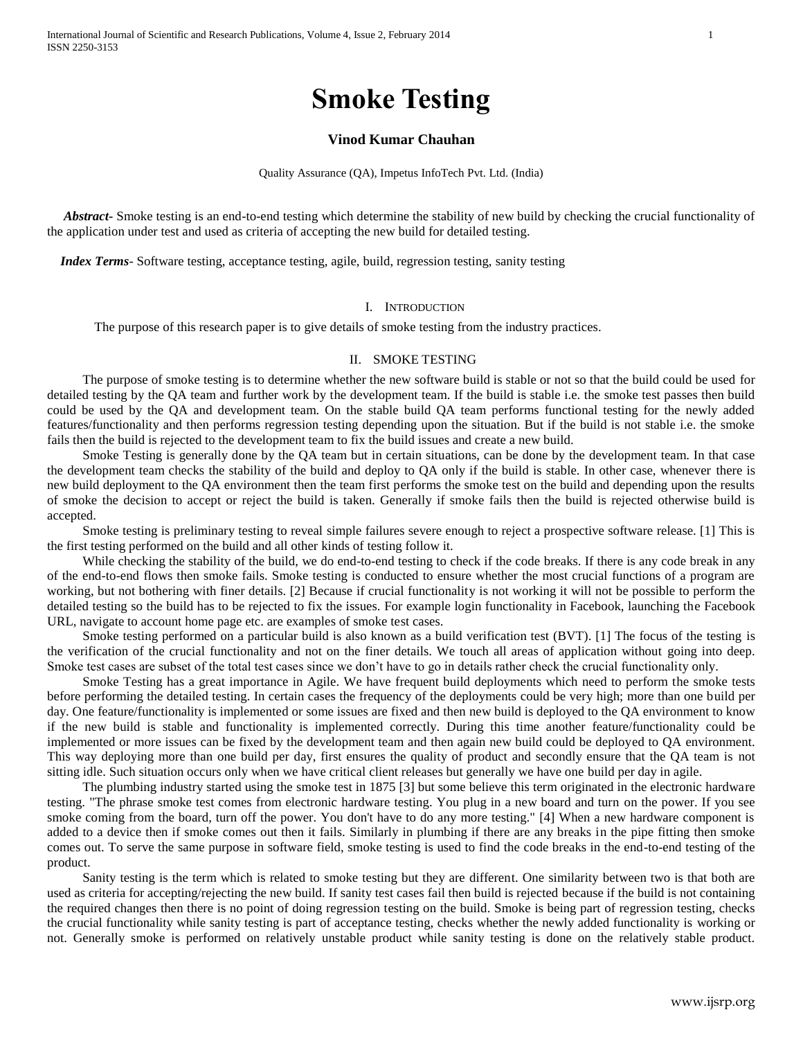# **Smoke Testing**

# **Vinod Kumar Chauhan**

Quality Assurance (QA), Impetus InfoTech Pvt. Ltd. (India)

 *Abstract***-** Smoke testing is an end-to-end testing which determine the stability of new build by checking the crucial functionality of the application under test and used as criteria of accepting the new build for detailed testing.

 *Index Terms*- Software testing, acceptance testing, agile, build, regression testing, sanity testing

#### I. INTRODUCTION

The purpose of this research paper is to give details of smoke testing from the industry practices.

## II. SMOKE TESTING

The purpose of smoke testing is to determine whether the new software build is stable or not so that the build could be used for detailed testing by the QA team and further work by the development team. If the build is stable i.e. the smoke test passes then build could be used by the QA and development team. On the stable build QA team performs functional testing for the newly added features/functionality and then performs regression testing depending upon the situation. But if the build is not stable i.e. the smoke fails then the build is rejected to the development team to fix the build issues and create a new build.

Smoke Testing is generally done by the QA team but in certain situations, can be done by the development team. In that case the development team checks the stability of the build and deploy to QA only if the build is stable. In other case, whenever there is new build deployment to the QA environment then the team first performs the smoke test on the build and depending upon the results of smoke the decision to accept or reject the build is taken. Generally if smoke fails then the build is rejected otherwise build is accepted.

Smoke testing is preliminary testing to reveal simple failures severe enough to reject a prospective software release. [1] This is the first testing performed on the build and all other kinds of testing follow it.

While checking the stability of the build, we do end-to-end testing to check if the code breaks. If there is any code break in any of the end-to-end flows then smoke fails. Smoke testing is conducted to ensure whether the most crucial functions of a program are working, but not bothering with finer details. [2] Because if crucial functionality is not working it will not be possible to perform the detailed testing so the build has to be rejected to fix the issues. For example login functionality in Facebook, launching the Facebook URL, navigate to account home page etc. are examples of smoke test cases.

Smoke testing performed on a particular build is also known as a build verification test (BVT). [1] The focus of the testing is the verification of the crucial functionality and not on the finer details. We touch all areas of application without going into deep. Smoke test cases are subset of the total test cases since we don't have to go in details rather check the crucial functionality only.

Smoke Testing has a great importance in Agile. We have frequent build deployments which need to perform the smoke tests before performing the detailed testing. In certain cases the frequency of the deployments could be very high; more than one build per day. One feature/functionality is implemented or some issues are fixed and then new build is deployed to the QA environment to know if the new build is stable and functionality is implemented correctly. During this time another feature/functionality could be implemented or more issues can be fixed by the development team and then again new build could be deployed to QA environment. This way deploying more than one build per day, first ensures the quality of product and secondly ensure that the QA team is not sitting idle. Such situation occurs only when we have critical client releases but generally we have one build per day in agile.

The plumbing industry started using the smoke test in 1875 [3] but some believe this term originated in the electronic hardware testing. "The phrase smoke test comes from electronic hardware testing. You plug in a new board and turn on the power. If you see smoke coming from the board, turn off the power. You don't have to do any more testing." [4] When a new hardware component is added to a device then if smoke comes out then it fails. Similarly in plumbing if there are any breaks in the pipe fitting then smoke comes out. To serve the same purpose in software field, smoke testing is used to find the code breaks in the end-to-end testing of the product.

Sanity testing is the term which is related to smoke testing but they are different. One similarity between two is that both are used as criteria for accepting/rejecting the new build. If sanity test cases fail then build is rejected because if the build is not containing the required changes then there is no point of doing regression testing on the build. Smoke is being part of regression testing, checks the crucial functionality while sanity testing is part of acceptance testing, checks whether the newly added functionality is working or not. Generally smoke is performed on relatively unstable product while sanity testing is done on the relatively stable product.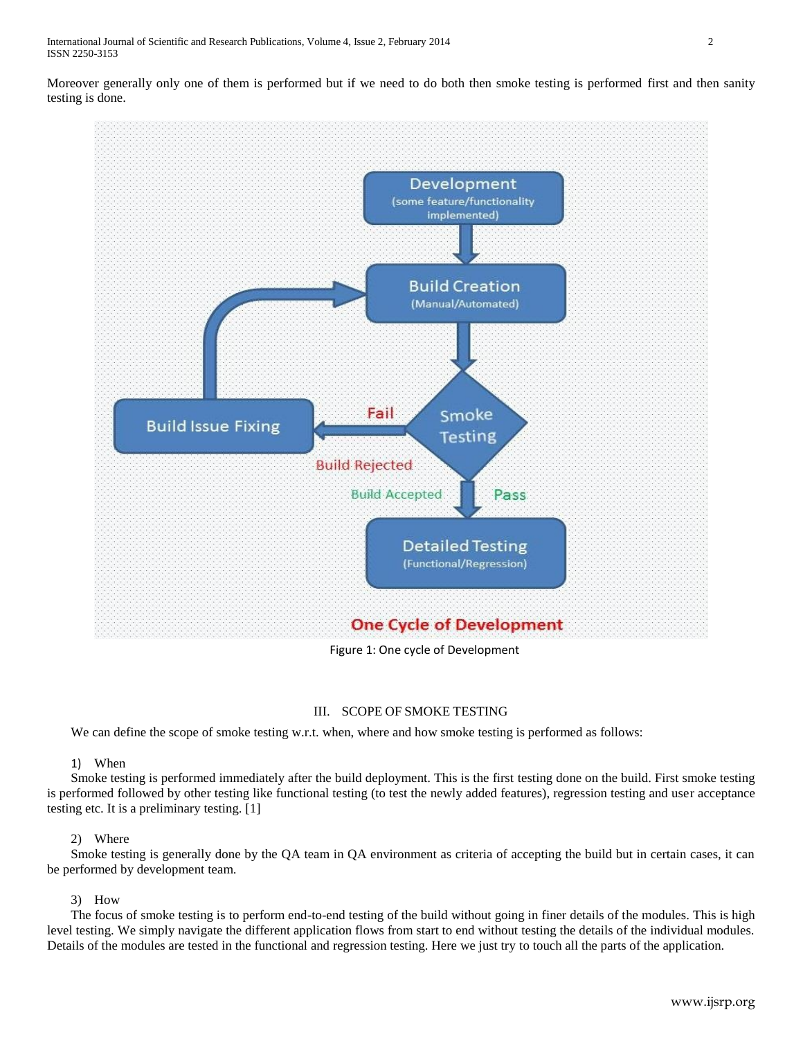Moreover generally only one of them is performed but if we need to do both then smoke testing is performed first and then sanity testing is done.



# Figure 1: One cycle of Development

# III. SCOPE OF SMOKE TESTING

We can define the scope of smoke testing w.r.t. when, where and how smoke testing is performed as follows:

# 1) When

Smoke testing is performed immediately after the build deployment. This is the first testing done on the build. First smoke testing is performed followed by other testing like functional testing (to test the newly added features), regression testing and user acceptance testing etc. It is a preliminary testing. [1]

# 2) Where

Smoke testing is generally done by the QA team in QA environment as criteria of accepting the build but in certain cases, it can be performed by development team.

# 3) How

The focus of smoke testing is to perform end-to-end testing of the build without going in finer details of the modules. This is high level testing. We simply navigate the different application flows from start to end without testing the details of the individual modules. Details of the modules are tested in the functional and regression testing. Here we just try to touch all the parts of the application.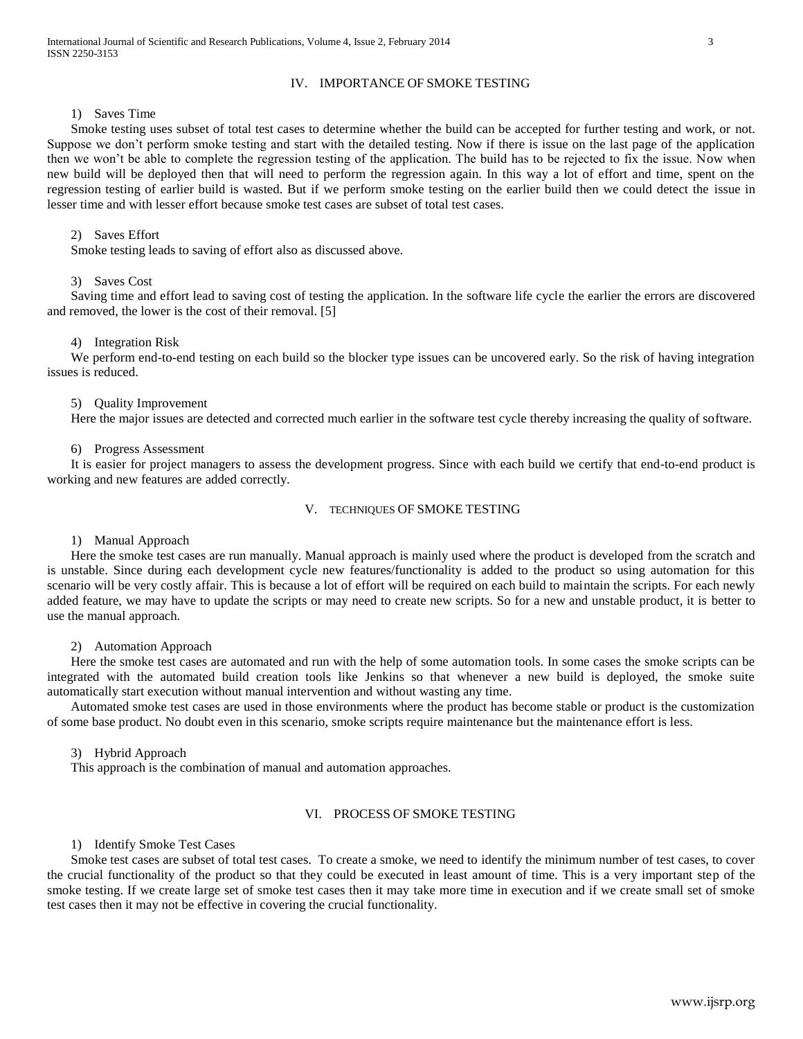## IV. IMPORTANCE OF SMOKE TESTING

## 1) Saves Time

Smoke testing uses subset of total test cases to determine whether the build can be accepted for further testing and work, or not. Suppose we don't perform smoke testing and start with the detailed testing. Now if there is issue on the last page of the application then we won't be able to complete the regression testing of the application. The build has to be rejected to fix the issue. Now when new build will be deployed then that will need to perform the regression again. In this way a lot of effort and time, spent on the regression testing of earlier build is wasted. But if we perform smoke testing on the earlier build then we could detect the issue in lesser time and with lesser effort because smoke test cases are subset of total test cases.

## 2) Saves Effort

Smoke testing leads to saving of effort also as discussed above.

### 3) Saves Cost

Saving time and effort lead to saving cost of testing the application. In the software life cycle the earlier the errors are discovered and removed, the lower is the cost of their removal. [5]

#### 4) Integration Risk

We perform end-to-end testing on each build so the blocker type issues can be uncovered early. So the risk of having integration issues is reduced.

## 5) Quality Improvement

Here the major issues are detected and corrected much earlier in the software test cycle thereby increasing the quality of software.

#### 6) Progress Assessment

It is easier for project managers to assess the development progress. Since with each build we certify that end-to-end product is working and new features are added correctly.

#### V. TECHNIQUES OF SMOKE TESTING

# 1) Manual Approach

Here the smoke test cases are run manually. Manual approach is mainly used where the product is developed from the scratch and is unstable. Since during each development cycle new features/functionality is added to the product so using automation for this scenario will be very costly affair. This is because a lot of effort will be required on each build to maintain the scripts. For each newly added feature, we may have to update the scripts or may need to create new scripts. So for a new and unstable product, it is better to use the manual approach.

## 2) Automation Approach

Here the smoke test cases are automated and run with the help of some automation tools. In some cases the smoke scripts can be integrated with the automated build creation tools like Jenkins so that whenever a new build is deployed, the smoke suite automatically start execution without manual intervention and without wasting any time.

Automated smoke test cases are used in those environments where the product has become stable or product is the customization of some base product. No doubt even in this scenario, smoke scripts require maintenance but the maintenance effort is less.

#### 3) Hybrid Approach

This approach is the combination of manual and automation approaches.

#### VI. PROCESS OF SMOKE TESTING

## 1) Identify Smoke Test Cases

Smoke test cases are subset of total test cases. To create a smoke, we need to identify the minimum number of test cases, to cover the crucial functionality of the product so that they could be executed in least amount of time. This is a very important step of the smoke testing. If we create large set of smoke test cases then it may take more time in execution and if we create small set of smoke test cases then it may not be effective in covering the crucial functionality.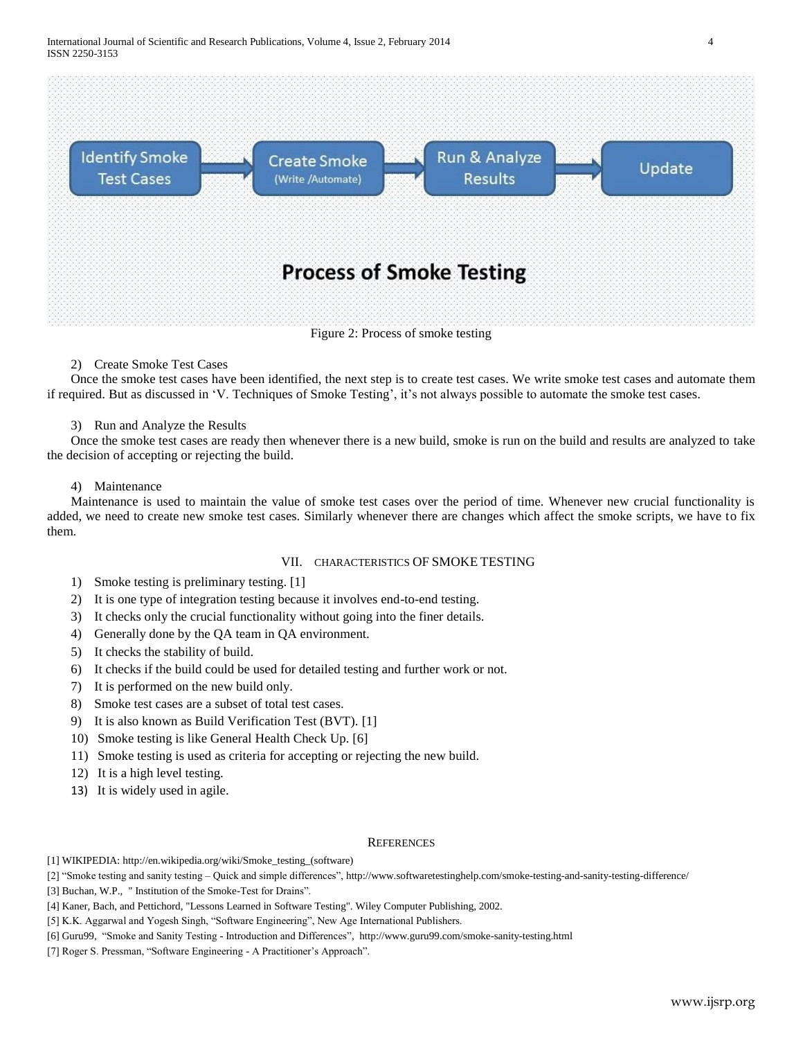

# 2) Create Smoke Test Cases

Once the smoke test cases have been identified, the next step is to create test cases. We write smoke test cases and automate them if required. But as discussed in 'V. Techniques of Smoke Testing', it's not always possible to automate the smoke test cases.

## 3) Run and Analyze the Results

Once the smoke test cases are ready then whenever there is a new build, smoke is run on the build and results are analyzed to take the decision of accepting or rejecting the build.

## 4) Maintenance

Maintenance is used to maintain the value of smoke test cases over the period of time. Whenever new crucial functionality is added, we need to create new smoke test cases. Similarly whenever there are changes which affect the smoke scripts, we have to fix them.

# VII. CHARACTERISTICS OF SMOKE TESTING

- 1) Smoke testing is preliminary testing. [1]
- 2) It is one type of integration testing because it involves end-to-end testing.
- 3) It checks only the crucial functionality without going into the finer details.
- 4) Generally done by the QA team in QA environment.
- 5) It checks the stability of build.
- 6) It checks if the build could be used for detailed testing and further work or not.
- 7) It is performed on the new build only.
- 8) Smoke test cases are a subset of total test cases.
- 9) It is also known as Build Verification Test (BVT). [1]
- 10) Smoke testing is like General Health Check Up. [6]
- 11) Smoke testing is used as criteria for accepting or rejecting the new build.
- 12) It is a high level testing.
- 13) It is widely used in agile.

#### **REFERENCES**

[1] WIKIPEDIA: [http://en.wikipedia.org/wiki/Smoke\\_testing\\_\(software\)](http://en.wikipedia.org/wiki/Smoke_testing_(software))

- [2] "Smoke testing and sanity testing Quick and simple differences",<http://www.softwaretestinghelp.com/smoke-testing-and-sanity-testing-difference/>
- [3] Buchan, W.P., " Institution of the Smoke-Test for Drains".
- [4] Kaner, Bach, and Pettichord, "Lessons Learned in Software Testing". Wiley Computer Publishing, 2002.

[5] K.K. Aggarwal and Yogesh Singh, "Software Engineering", New Age International Publishers.

- [6] Guru99, "Smoke and Sanity Testing Introduction and Differences",<http://www.guru99.com/smoke-sanity-testing.html>
- [7] Roger S. Pressman, "Software Engineering A Practitioner's Approach".